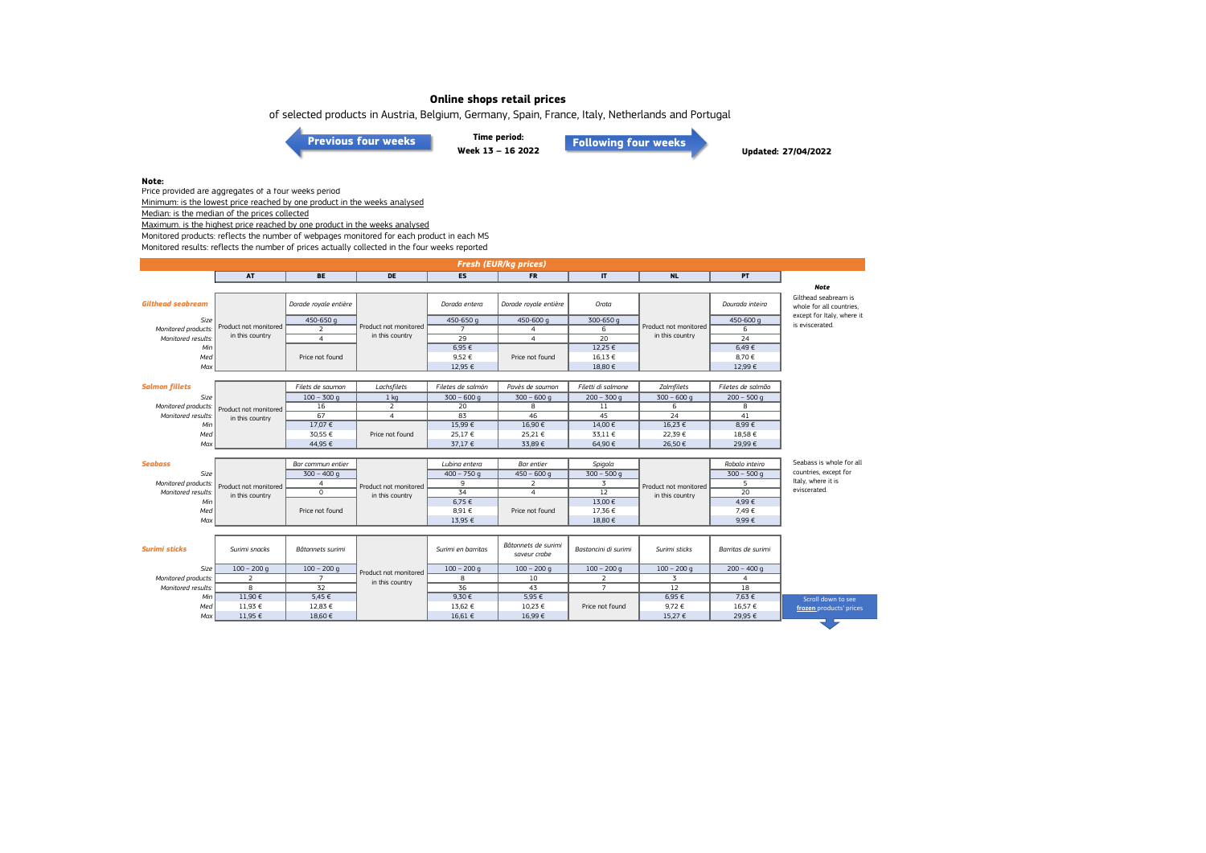of selected products in Austria, Belgium, Germany, Spain, France, Italy, Netherlands and Portugal

**[Previous four weeks](https://www.eumofa.eu/documents/20178/487668/W9-12+2022.pdf/d19066a0-ab11-83ca-7611-b36fe8dde2da?t=1648648471643)**

**Time period: Week 13 – 16 2022 [Following four weeks](https://www.eumofa.eu/documents/20178/487668/W17-20_2022.pdf/0e7b64a2-f1dc-1c7a-9b99-d2acc501181e?t=1653382663063)**

**Updated: 27/04/2022**

**Note:**

Price provided are aggregates of a four weeks period Minimum: is the lowest price reached by one product in the weeks analysed

Median: is the median of the prices collected

Maximum. is the highest price reached by one product in the weeks analysed

Monitored products: reflects the number of webpages monitored for each product in each MS

Monitored results: reflects the number of prices actually collected in the four weeks reported

| Fresh (EUR/kg prices)    |                       |                       |                       |                     |                                     |                      |                       |                    |                                                  |  |
|--------------------------|-----------------------|-----------------------|-----------------------|---------------------|-------------------------------------|----------------------|-----------------------|--------------------|--------------------------------------------------|--|
|                          | AT                    | <b>BE</b>             | DE                    | ES                  | <b>FR</b>                           | $\mathbf{I}$         | <b>NL</b>             | PT                 |                                                  |  |
|                          |                       |                       |                       |                     |                                     |                      |                       |                    | <b>Note</b>                                      |  |
| <b>Gilthead seabream</b> |                       | Dorade royale entière |                       | Dorada entera       | Dorade royale entière               | Orata                |                       | Dourada inteira    | Gilthead seabream is<br>whole for all countries. |  |
| Size                     |                       | 450-650 g             |                       | 450-650 g           | 450-600 g                           | 300-650 g            |                       | 450-600 g          | except for Italy, where it                       |  |
| Monitored products:      | Product not monitored | 2                     | Product not monitored | $\overline{7}$      | 4                                   | 6                    | Product not monitored | 6                  | is eviscerated.                                  |  |
| Monitored results:       | in this country       | $\overline{4}$        | in this country       | $\overline{29}$     | $\overline{4}$                      | $\overline{20}$      | in this country       | 24                 |                                                  |  |
| Min<br>Med               |                       | Price not found       |                       | $6,95 \in$<br>9,52€ | Price not found                     | 12,25 €<br>16,13 €   |                       | 6,49€<br>8,70€     |                                                  |  |
| Max                      |                       |                       |                       | 12,95 €             |                                     | 18,80 €              |                       | 12,99 €            |                                                  |  |
|                          |                       |                       |                       |                     |                                     |                      |                       |                    |                                                  |  |
| <b>Salmon fillets</b>    |                       | Filets de saumon      | Lachsfilets           | Filetes de salmón   | Pavès de saumon                     | Filetti di salmone   | Zalmfilets            | Filetes de salmão  |                                                  |  |
| Size                     |                       | $100 - 300$ q         | 1 <sub>kq</sub>       | $300 - 600$ q       | $300 - 600$ q                       | $200 - 300$ g        | $300 - 600q$          | $200 - 500$ q      |                                                  |  |
| Monitored products:      | Product not monitored | 16                    | 2                     | 20                  | 8                                   | 11                   | 6                     | 8                  |                                                  |  |
| Monitored results:       | in this country       | 67                    | $\overline{4}$        | 83                  | 46                                  | 45                   | 24                    | 41                 |                                                  |  |
| Min                      |                       | 17,07 €               |                       | 15,99€              | 16,90€                              | 14,00 €              | 16,23 €               | 8,99€              |                                                  |  |
| Med                      |                       | 30.55 €               | Price not found       | 25,17€              | 25,21 €                             | 33.11 €              | 22.39€                | 18.58€             |                                                  |  |
| Max                      |                       | 44,95 €               |                       | 37,17 €             | 33,89€                              | 64,90 €              | 26,50 €               | 29,99€             |                                                  |  |
|                          |                       |                       |                       |                     |                                     |                      |                       |                    |                                                  |  |
| <b>Seabass</b>           |                       | Bar commun entier     |                       | Lubina entera       | <b>Bar</b> entier                   | Spigola              |                       | Robalo inteiro     | Seabass is whole for all                         |  |
| Size                     |                       | $300 - 400q$          |                       | $400 - 750q$        | $450 - 600$ q                       | $300 - 500$ g        |                       | $300 - 500q$       | countries, except for                            |  |
| Monitored products:      | Product not monitored | $\overline{4}$        | Product not monitored | 9                   | 2                                   | $\overline{3}$       | Product not monitored | 5                  | Italy, where it is                               |  |
| Monitored results:       | in this country       | $\Omega$              | in this country       | 34                  | $\overline{4}$                      | 12                   | in this country       | 20                 | eviscerated.                                     |  |
| Min                      |                       |                       |                       | 6,75€               |                                     | 13,00 €              |                       | 4,99€              |                                                  |  |
| Med                      |                       | Price not found       |                       | 8,91€               | Price not found                     | 17,36 €              |                       | 7,49 €             |                                                  |  |
| Max                      |                       |                       |                       | 13,95 €             |                                     | 18,80 €              |                       | 9,99€              |                                                  |  |
|                          |                       |                       |                       |                     |                                     |                      |                       |                    |                                                  |  |
| <b>Surimi sticks</b>     | Surimi snacks         | Bâtonnets surimi      |                       | Surimi en barritas  | Bâtonnets de surimi<br>saveur crabe | Bastoncini di surimi | Surimi sticks         | Barritas de surimi |                                                  |  |
| Size                     | $100 - 200$ q         | $100 - 200$ q         | Product not monitored | $100 - 200$ q       | $100 - 200$ q                       | $100 - 200$ q        | $100 - 200$ q         | $200 - 400$ q      |                                                  |  |
| Monitored products:      | 2                     | $\overline{7}$        | in this country       | 8                   | 10                                  | 2                    | $\overline{3}$        | $\overline{a}$     |                                                  |  |
| Monitored results:       | 8                     | 32                    |                       | 36                  | 43                                  | $\overline{7}$       | 12                    | 18                 |                                                  |  |
| Min                      | 11,90 €               | 5,45 €                |                       | 9,30 €              | 5,95 €                              |                      | 6,95 €                | 7,63 €             | Scroll down to see                               |  |
| Med                      | 11,93 €               | 12,83 €               |                       | 13,62 €             | 10,23 €                             | Price not found      | 9,72€                 | 16,57 €            | frozen products' prices                          |  |
| Max                      | 11,95 €               | 18,60 €               |                       | 16,61 €             | 16,99€                              |                      | 15,27 €               | 29,95 €            |                                                  |  |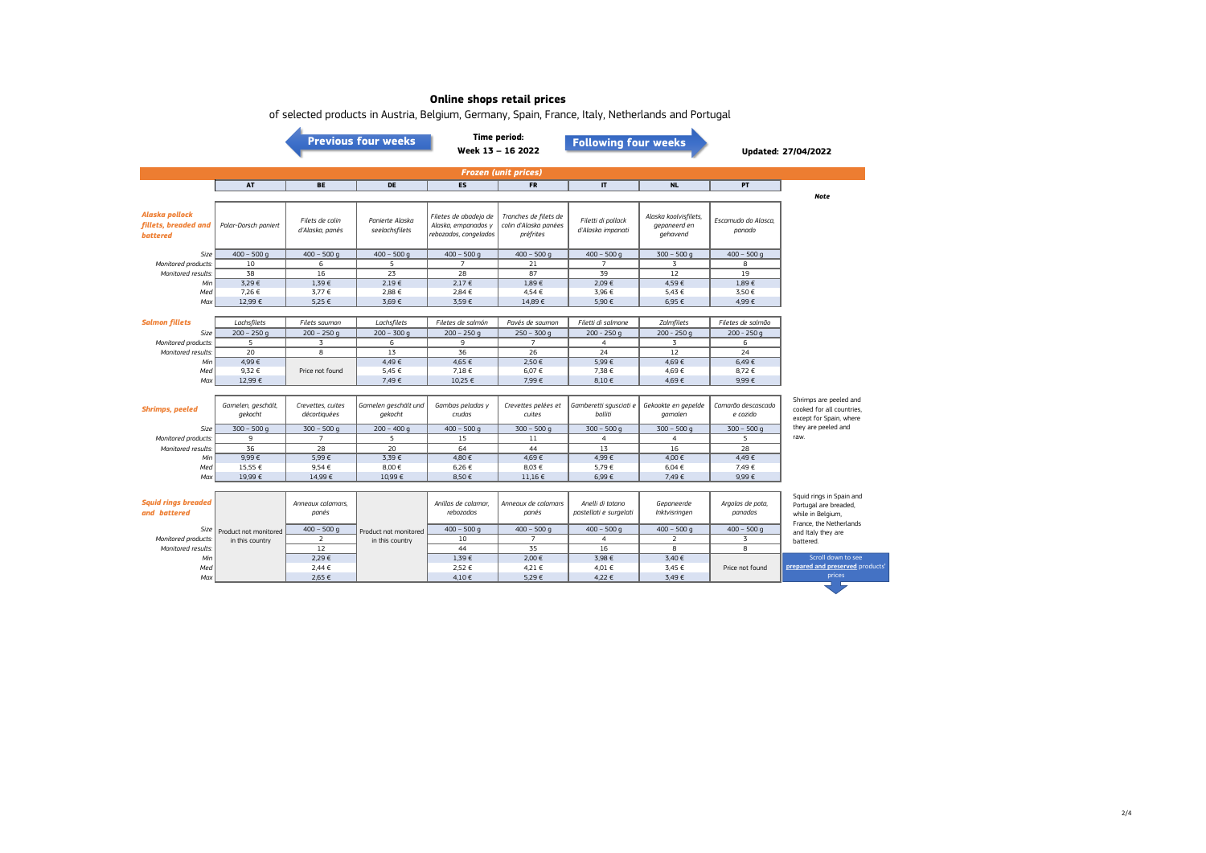|                                                           |                                |                                    | <b>Previous four weeks</b>        |                                                                       | <b>Time period:</b><br><b>Following four weeks</b><br>Week 13 - 16 2022 |                                            |                                                   | Updated: 27/04/2022            |                                                                                                   |  |
|-----------------------------------------------------------|--------------------------------|------------------------------------|-----------------------------------|-----------------------------------------------------------------------|-------------------------------------------------------------------------|--------------------------------------------|---------------------------------------------------|--------------------------------|---------------------------------------------------------------------------------------------------|--|
| <b>Frozen (unit prices)</b>                               |                                |                                    |                                   |                                                                       |                                                                         |                                            |                                                   |                                |                                                                                                   |  |
|                                                           | <b>AT</b>                      | <b>BE</b>                          | DE                                | <b>ES</b>                                                             | <b>FR</b>                                                               | $\mathbf{I}$                               | <b>NL</b>                                         | PT                             |                                                                                                   |  |
| Alaska pollock<br>fillets, breaded and<br><b>battered</b> | Polar-Dorsch paniert           | Filets de colin<br>d'Alaska, panés | Panierte Alaska<br>seelachsfilets | Filetes de abadejo de<br>Alaska, empanados y<br>rebozados, congelados | Tranches de filets de<br>colin d'Alaska panées<br>préfrites             | Filetti di pollack<br>d'Alaska impanati    | Alaska koolvisfilets,<br>gepaneerd en<br>gehavend | Escamudo do Alasca.<br>panado  | <b>Note</b>                                                                                       |  |
| Size                                                      | $400 - 500$ q                  | $400 - 500$ q                      | $400 - 500$ q                     | $400 - 500$ q                                                         | $400 - 500$ q                                                           | $400 - 500$ q                              | $300 - 500$ q                                     | $400 - 500$ q                  |                                                                                                   |  |
| Monitored products.                                       | 10                             | 6                                  | 5                                 | $\overline{7}$                                                        | 21                                                                      | $\overline{7}$                             | $\overline{3}$                                    | 8                              |                                                                                                   |  |
| Monitored results.                                        | 38                             | 16                                 | 23                                | 28                                                                    | 87                                                                      | 39                                         | 12                                                | 19                             |                                                                                                   |  |
| Min                                                       | 3.29€                          | 1.39E                              | 2.19E                             | $2.17 \in$                                                            | 1.89E                                                                   | 209F                                       | 4.59€                                             | 1.89€                          |                                                                                                   |  |
| Med                                                       | 7,26€                          | 3,77 €                             | 2,88 €                            | 2,84 €                                                                | 4,54€                                                                   | 3,96 €                                     | 5,43 €                                            | 3,50€                          |                                                                                                   |  |
| Max                                                       | 12.99 €                        | 525f                               | 3.69€                             | 3.59€                                                                 | 14.89€                                                                  | 5.90€                                      | 6.95 €                                            | 4.99€                          |                                                                                                   |  |
|                                                           |                                |                                    |                                   |                                                                       |                                                                         |                                            |                                                   |                                |                                                                                                   |  |
| <b>Salmon fillets</b>                                     | Lachsfilets                    | Filets saumon                      | Lachsfilets                       | Filetes de salmón                                                     | Pavés de saumon                                                         | Filetti di salmone                         | Zalmfilets                                        | Filetes de salmão              |                                                                                                   |  |
| Size                                                      | $200 - 250q$                   | $200 - 250$ q                      | $200 - 300$ q                     | $200 - 250$ q                                                         | $250 - 300$ q                                                           | $200 - 250q$                               | $200 - 250q$                                      | $200 - 250q$                   |                                                                                                   |  |
| Monitored products:                                       | 5<br>20                        | $\overline{3}$<br>8                | 6<br>13                           | 9<br>36                                                               | $\overline{7}$<br>26                                                    | $\overline{4}$<br>$\overline{24}$          | $\overline{3}$<br>12                              | 6<br>24                        |                                                                                                   |  |
| Monitored results:<br>Min                                 | 4,99€                          |                                    | 4,49€                             | 4,65 €                                                                | 2,50€                                                                   | 5,99€                                      | 4,69€                                             | 6,49€                          |                                                                                                   |  |
| Med                                                       | 9.32 €                         | Price not found                    | 5.45 €                            | 7.18€                                                                 | 6,07€                                                                   | 7.38 €                                     | 4.69€                                             | 8.72€                          |                                                                                                   |  |
| Max                                                       | 12,99 €                        |                                    | 7,49€                             | 10,25 €                                                               | 7,99€                                                                   | 8,10€                                      | 4,69€                                             | 9,99€                          |                                                                                                   |  |
|                                                           |                                |                                    |                                   |                                                                       |                                                                         |                                            |                                                   |                                |                                                                                                   |  |
| <b>Shrimps, peeled</b>                                    | Garnelen, geschält,<br>gekocht | Crevettes, cuites<br>décortiquées  | Garnelen geschält und<br>gekocht  | Gambas peladas y<br>crudas                                            | Crevettes pelées et<br>cuites                                           | Gamberetti squsciati e<br>bolliti          | Gekookte en gepelde<br>garnalen                   | Camarão descascado<br>e cozido | Shrimps are peeled and<br>cooked for all countries.<br>except for Spain, where                    |  |
| Size                                                      | $300 - 500q$                   | $300 - 500$ q                      | $200 - 400q$                      | $400 - 500$ q                                                         | $300 - 500$ q                                                           | $300 - 500$ q                              | $300 - 500$ q                                     | $300 - 500$ q                  | they are peeled and                                                                               |  |
| Monitored products.                                       | 9                              | $\overline{7}$                     | 5                                 | 15                                                                    | 11                                                                      | $\overline{4}$                             | $\overline{4}$                                    | 5                              | raw.                                                                                              |  |
| Monitored results.                                        | 36                             | 28                                 | 20                                | 64                                                                    | 44                                                                      | 13                                         | 16                                                | 28                             |                                                                                                   |  |
| Min                                                       | 9.99E                          | 5.99€                              | 3.39€                             | 4.80€                                                                 | 4.69€                                                                   | 4.99€                                      | 4.00 €                                            | 4.49€                          |                                                                                                   |  |
| Med                                                       | 15,55 €                        | 9.54€                              | 8,00 €                            | 6,26 €                                                                | 8,03 €                                                                  | 5.79€                                      | 6,04 €                                            | 7.49€                          |                                                                                                   |  |
| Max                                                       | 19,99€                         | 14,99€                             | 10,99€                            | 8,50€                                                                 | 11,16 €                                                                 | 6,99€                                      | 7,49 €                                            | $9,99 \in$                     |                                                                                                   |  |
| <b>Squid rings breaded</b><br>and battered                |                                | Anneaux calamars,<br>panés         |                                   | Anillas de calamar.<br>rebozadas                                      | Annegux de calamars<br>panés                                            | Anelli di totano<br>pastellati e surgelati | Gepaneerde<br>Inktvisringen                       | Argolas de pota,<br>panadas    | Squid rings in Spain and<br>Portugal are breaded,<br>while in Belgium,<br>France, the Netherlands |  |
| Size                                                      | Product not monitored          | $400 - 500q$                       | Product not monitored             | $400 - 500$ q                                                         | $400 - 500$ q                                                           | $400 - 500$ q                              | $400 - 500$ q                                     | $400 - 500$ q                  | and Italy they are                                                                                |  |
| Monitored products                                        | in this country                | $\overline{2}$                     | in this country                   | 10                                                                    | $\overline{7}$                                                          | $\overline{4}$                             | 2                                                 | 3                              | battered.                                                                                         |  |
| Monitored results:                                        |                                | 12                                 |                                   | 44                                                                    | 35                                                                      | 16                                         | 8                                                 | 8                              |                                                                                                   |  |
| Min                                                       |                                | 2.29€                              |                                   | 1.39€                                                                 | 2.00 €                                                                  | 3.98 €                                     | 3.40 €                                            |                                | Scroll down to see                                                                                |  |
| Med                                                       |                                | 2,44 €                             |                                   | 2,52 €                                                                | 4,21 €                                                                  | 4,01 €                                     | 3,45 €                                            | Price not found                | prepared and preserved products'                                                                  |  |
| Max                                                       |                                | 2.65 €                             |                                   | 4.10€                                                                 | 5.29€                                                                   | 4.22 €                                     | 3.49€                                             |                                | prices                                                                                            |  |

of selected products in Austria, Belgium, Germany, Spain, France, Italy, Netherlands and Portugal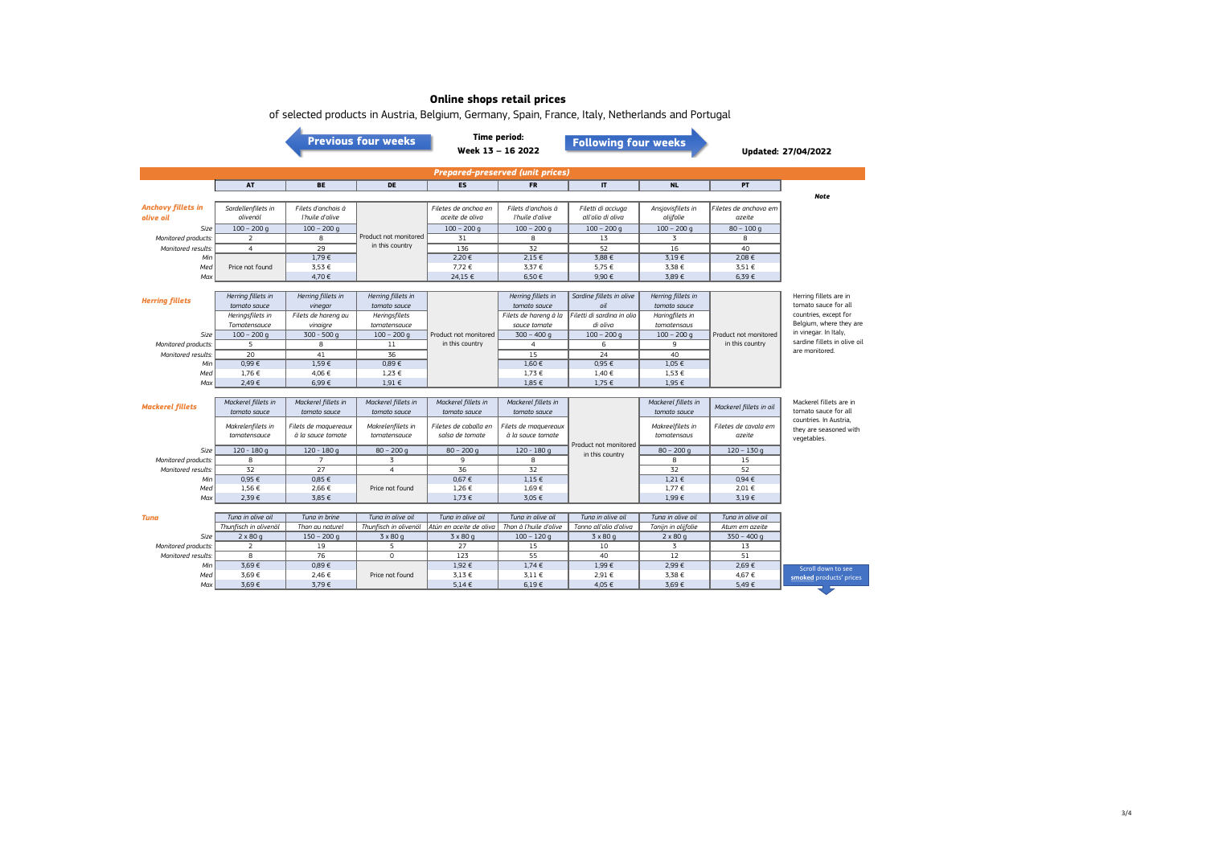|                                         | 01 beleten products in Austria, Belgium, Germany, Spain, France, Raly, Hetherlands and Fortugal<br><b>Previous four weeks</b> |                      |                       |                         | <b>Time period:</b><br><b>Following four weeks</b><br>Week 13 - 16 2022 |                            |                     |                         | <b>Updated: 27/04/2022</b>                       |  |
|-----------------------------------------|-------------------------------------------------------------------------------------------------------------------------------|----------------------|-----------------------|-------------------------|-------------------------------------------------------------------------|----------------------------|---------------------|-------------------------|--------------------------------------------------|--|
| <b>Prepared-preserved (unit prices)</b> |                                                                                                                               |                      |                       |                         |                                                                         |                            |                     |                         |                                                  |  |
|                                         | AT                                                                                                                            | <b>BE</b>            | <b>DE</b>             | <b>ES</b>               | <b>FR</b>                                                               | $\mathbf{I}$               | <b>NL</b>           | PT.                     |                                                  |  |
|                                         |                                                                                                                               |                      |                       |                         |                                                                         |                            |                     |                         | <b>Note</b>                                      |  |
| <b>Anchovy fillets in</b>               | Sardellenfilets in                                                                                                            | Filets d'anchois à   |                       | Filetes de anchoa en    | Filets d'anchois à                                                      | Filetti di acciuga         | Ansjovisfilets in   | Filetes de anchova em   |                                                  |  |
| olive oil                               | olivenöl                                                                                                                      | l'huile d'olive      |                       | aceite de oliva         | l'huile d'olive                                                         | all'olio di oliva          | olijfolie           | azeite                  |                                                  |  |
| Size                                    | $100 - 200$ q                                                                                                                 | $100 - 200$ q        |                       | $100 - 200$ q           | $100 - 200$ q                                                           | $100 - 200$ q              | $100 - 200$ q       | $80 - 100q$             |                                                  |  |
| Monitored products.                     | 2                                                                                                                             | 8                    | Product not monitored | 31                      | 8                                                                       | 13                         | 3                   | 8                       |                                                  |  |
| Monitored results:                      | $\overline{4}$                                                                                                                | 29                   | in this country       | 136                     | $\overline{32}$                                                         | 52                         | 16                  | 40                      |                                                  |  |
| Min                                     |                                                                                                                               | 1,79€                |                       | 2,20€                   | $2,15 \in$                                                              | 3,88 €                     | 3,19€               | 2,08 €                  |                                                  |  |
| Med                                     | Price not found                                                                                                               | 3,53 €               |                       | 7,72 €                  | 3,37 €                                                                  | 5,75 €                     | 3,38 €              | 3,51 €                  |                                                  |  |
| Max                                     |                                                                                                                               | 4,70€                |                       | 24,15 €                 | 6,50€                                                                   | 9,90€                      | 3,89€               | 6,39€                   |                                                  |  |
|                                         |                                                                                                                               |                      |                       |                         |                                                                         |                            |                     |                         |                                                  |  |
| <b>Herring fillets</b>                  | Herring fillets in                                                                                                            | Herring fillets in   | Herring fillets in    |                         | Herring fillets in                                                      | Sardine fillets in olive   | Herring fillets in  |                         | Herring fillets are in                           |  |
|                                         | tomato sauce                                                                                                                  | vinegar              | tomato sauce          |                         | tomato sauce                                                            | oil                        | tomato sauce        |                         | tomato sauce for all                             |  |
|                                         | Heringsfilets in                                                                                                              | Filets de hareng au  | Heringsfilets         |                         | Filets de hareng à la                                                   | Filetti di sardina in olio | Haringfilets in     |                         | countries, except for<br>Belgium, where they are |  |
|                                         | Tomatensauce                                                                                                                  | vinaigre             | tomatensauce          |                         | sauce tomate                                                            | di oliva                   | tomatensaus         |                         | in vinegar. In Italy,                            |  |
| Size                                    | $100 - 200$ g                                                                                                                 | $300 - 500q$         | $100 - 200$ q         | Product not monitored   | $300 - 400q$                                                            | $100 - 200$ g              | $100 - 200$ q       | Product not monitored   | sardine fillets in olive oil                     |  |
| Monitored products:                     | 5                                                                                                                             | 8                    | 11                    | in this country         | $\overline{4}$                                                          | 6                          | 9                   | in this country         | are monitored.                                   |  |
| Monitored results.                      | 20                                                                                                                            | 41                   | 36                    |                         | 15                                                                      | 24                         | 40                  |                         |                                                  |  |
| Min                                     | 0,99E                                                                                                                         | 1,59€                | 0,89E                 |                         | $1,60 \in$                                                              | 0,95€                      | 1,05 €              |                         |                                                  |  |
| Med                                     | 1,76€                                                                                                                         | 4,06 €               | $1,23 \in$            |                         | 1,73 €                                                                  | 1,40 €                     | 1,53 €              |                         |                                                  |  |
| Max                                     | 2,49€                                                                                                                         | 6,99€                | $1,91 \in$            |                         | $1,85 \in$                                                              | 1,75 €                     | 1,95 €              |                         |                                                  |  |
|                                         | Mackerel fillets in                                                                                                           | Mackerel fillets in  | Mackerel fillets in   | Mackerel fillets in     | Mackerel fillets in                                                     |                            | Mackerel fillets in |                         | Mackerel fillets are in                          |  |
| <b>Mackerel fillets</b>                 | tomato sauce                                                                                                                  | tomato sauce         | tomato sauce          | tomato sauce            | tomato sauce                                                            |                            | tomato sauce        | Mackerel fillets in oil | tomato sauce for all                             |  |
|                                         |                                                                                                                               |                      |                       |                         |                                                                         |                            |                     |                         | countries. In Austria,                           |  |
|                                         | Makrelenfilets in                                                                                                             | Filets de maguereaux | Makrelenfilets in     | Filetes de caballa en   | Filets de maguereaux                                                    |                            | Makreelfilets in    | Filetes de cavala em    | they are seasoned with                           |  |
|                                         | tomatensauce                                                                                                                  | à la sauce tomate    | tomatensauce          | salsa de tomate         | à la sauce tomate                                                       |                            | tomatensaus         | azeite                  | vegetables.                                      |  |
| Size                                    | $120 - 180q$                                                                                                                  | $120 - 180q$         | $80 - 200$ g          | $80 - 200$ q            | $120 - 180q$                                                            | Product not monitored      | $80 - 200$ q        | $120 - 130q$            |                                                  |  |
| Monitored products.                     | 8                                                                                                                             | $\overline{7}$       | 3                     | 9                       | 8                                                                       | in this country            | 8                   | 15                      |                                                  |  |
| Monitored results.                      | 32                                                                                                                            | 27                   | $\overline{4}$        | 36                      | 32                                                                      |                            | 32                  | 52                      |                                                  |  |
| Min                                     | 0.95 €                                                                                                                        | 0.85 €               |                       | 0.67E                   | $1.15 \in$                                                              |                            | $1,21 \in$          | $0.94 \in$              |                                                  |  |
| Med                                     | 1,56 €                                                                                                                        | 2,66 €               | Price not found       | 1,26 €                  | $1,69 \in$                                                              |                            | 1,77 €              | 2,01 €                  |                                                  |  |
| Max                                     | 2,39€                                                                                                                         | 3,85 €               |                       | $1,73 \in$              | 3,05 €                                                                  |                            | 1,99€               | 3.19E                   |                                                  |  |
|                                         |                                                                                                                               |                      |                       |                         |                                                                         |                            |                     |                         |                                                  |  |
| Tuna                                    | Tuna in olive oil                                                                                                             | Tung in brine        | Tung in olive oil     | Tung in olive oil       | Tung in olive oil                                                       | Tung in olive oil          | Tung in olive oil   | Tuna in olive oil       |                                                  |  |
|                                         | Thunfisch in olivenöl                                                                                                         | Thon au naturel      | Thunfisch in olivenöl | Atún en aceite de oliva | Thon à l'huile d'olive                                                  | Tonno all'olio d'oliva     | Tonijn in olijfolie | Atum em azeite          |                                                  |  |
| Size                                    | $2 \times 80q$                                                                                                                | $150 - 200$ q        | $3 \times 80q$        | $3 \times 80$ g         | $100 - 120q$                                                            | $3 \times 80q$             | $2 \times 80q$      | $350 - 400q$            |                                                  |  |
| Monitored products.                     | $\overline{2}$                                                                                                                | 19                   | 5                     | 27                      | 15                                                                      | 10                         | 3                   | 13                      |                                                  |  |
| Monitored results.                      | $\overline{\mathbf{g}}$                                                                                                       | 76                   | $\overline{0}$        | 123                     | 55                                                                      | 40                         | 12                  | 51                      |                                                  |  |
| Min                                     | 3,69€                                                                                                                         | 0,89€                |                       | 1,92 €                  | $1,74 \in$                                                              | 1,99€                      | 2,99€               | 2,69€                   | Scroll down to see                               |  |
| Med                                     | 3,69€                                                                                                                         | 2,46 €               | Price not found       | 3,13 €                  | $3.11 \in$                                                              | 2,91 €                     | 3,38 €              | 4,67 €                  | smoked products' prices                          |  |
| Max                                     | 3,69€                                                                                                                         | 3,79€                |                       | $5.14 \in$              | 6,19€                                                                   | 4,05 €                     | 3,69€               | 5,49€                   |                                                  |  |

of selected products in Austria, Belgium, Germany, Spain, France, Italy, Netherlands and Portugal